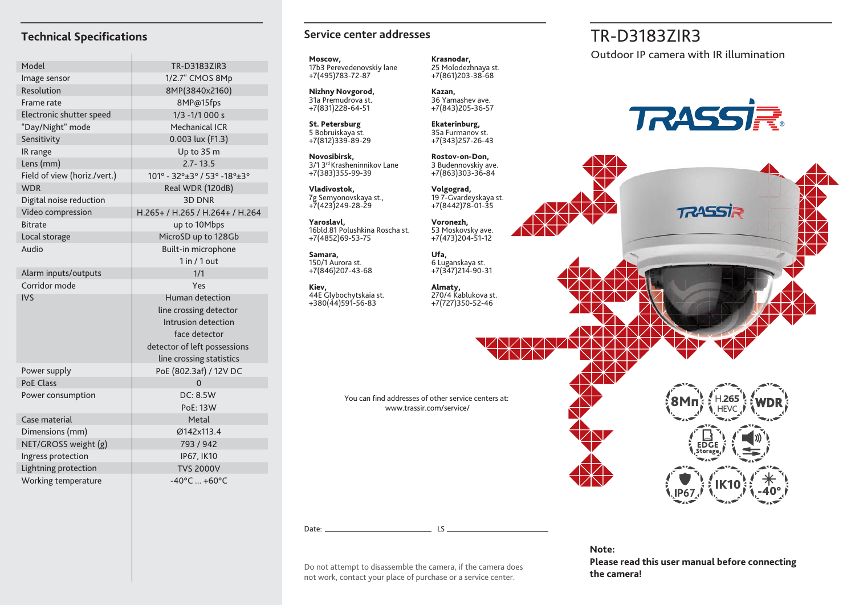| Model                        | TR-D3183ZIR3                    |
|------------------------------|---------------------------------|
| Image sensor                 | 1/2.7" CMOS 8Mp                 |
| Resolution                   | 8MP(3840x2160)                  |
| Frame rate                   | 8MP@15fps                       |
| Electronic shutter speed     | $1/3 - 1/1000 s$                |
| "Day/Night" mode             | Mechanical ICR                  |
| Sensitivity                  | 0.003 lux (F1.3)                |
| IR range                     | Up to 35 m                      |
| Lens (mm)                    | $2.7 - 13.5$                    |
| Field of view (horiz./vert.) | 101° - 32°±3° / 53° -18°±3°     |
| <b>WDR</b>                   | Real WDR (120dB)                |
| Digital noise reduction      | <b>3D DNR</b>                   |
| Video compression            | H.265+ / H.265 / H.264+ / H.264 |
| <b>Bitrate</b>               | up to 10Mbps                    |
| Local storage                | MicroSD up to 128Gb             |
| Audio                        | Built-in microphone             |
|                              | 1 in / 1 out                    |
| Alarm inputs/outputs         | 1/1                             |
| Corridor mode                | Yes                             |
| <b>IVS</b>                   | Human detection                 |
|                              | line crossing detector          |
|                              | Intrusion detection             |
|                              | face detector                   |
|                              | detector of left possessions    |
|                              | line crossing statistics        |
| Power supply                 | PoE (802.3af) / 12V DC          |
| <b>PoE Class</b>             | $\Omega$                        |
| Power consumption            | <b>DC: 8.5W</b>                 |
|                              | PoE: 13W                        |
| Case material                | Metal                           |
| Dimensions (mm)              | Ø142x113.4                      |
| NET/GROSS weight (g)         | 793 / 942                       |
| Ingress protection           | IP67, IK10                      |
| Lightning protection         | <b>TVS 2000V</b>                |
| Working temperature          | $-40^{\circ}$ C $+60^{\circ}$ C |

# **Service center addresses**

**Moscow,** 17b3 Perevedenovskiy lane +7(495)783-72-87

**Nizhny Novgorod,** 31a Premudrova st. +7(831)228-64-51

**St. Petersburg** 5 Bobruiskaya st. +7(812)339-89-29

**Novosibirsk,** 3/1 3rd Krasheninnikov Lane +7(383)355-99-39

**Vladivostok,** 7g Semyonovskaya st., +7(423)249-28-29

**Yaroslavl,** 16bld.81 Polushkina Roscha st. +7(4852)69-53-75

**Samara,** 150/1 Aurora st. +7(846)207-43-68

**Kiev,** 44E Glybochytskaia st. +380(44)591-56-83

**Krasnodar,** 25 Molodezhnaya st. +7(861)203-38-68

**Kazan,** 36 Yamashev ave. +7(843)205-36-57

**Ekaterinburg,** 35a Furmanov st. +7(343)257-26-43

**Rostov-on-Don,** 3 Budennovskiy ave. +7(863)303-36-84

**Volgograd,** 19 7-Gvardeyskaya st. +7(8442)78-01-35

**Voronezh,** 53 Moskovsky ave. +7(473)204-51-12

**Ufa,** 6 Luganskaya st. +7(347)214-90-31

**Almaty,** 270/4 Kablukova st. +7(727)350-52-46

You can find addresses of other service centers at: www.trassir.com/service/

**the camera** does<br>**the camera!** Do not attempt to disassemble the camera, if the camera does<br>**the camera!** 

Date: LS

# Technical Specifications **TR-D3183ZIR3** Service center addresses TR-D3183ZIR3

Outdoor IP camera with IR illumination



**TRASSIR** 



**Note: Please read this user manual before connecting** 

not work, contact your place of purchase or a service center.